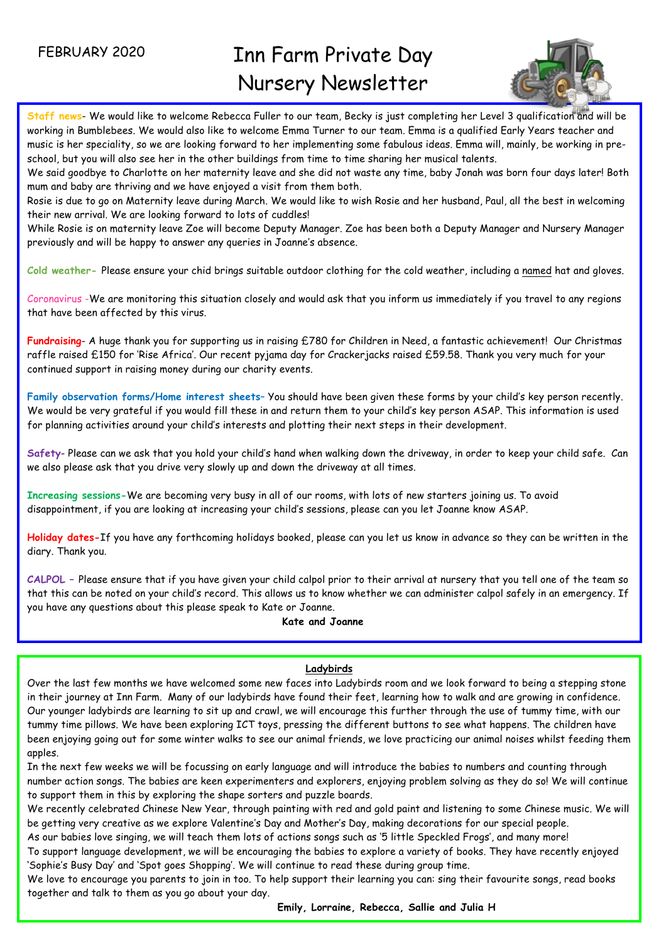FEBRUARY 2020

í

# Inn Farm Private Day Nursery Newsletter



**Staff news**- We would like to welcome Rebecca Fuller to our team, Becky is just completing her Level 3 qualification and will be working in Bumblebees. We would also like to welcome Emma Turner to our team. Emma is a qualified Early Years teacher and music is her speciality, so we are looking forward to her implementing some fabulous ideas. Emma will, mainly, be working in preschool, but you will also see her in the other buildings from time to time sharing her musical talents.

We said goodbye to Charlotte on her maternity leave and she did not waste any time, baby Jonah was born four days later! Both mum and baby are thriving and we have enjoyed a visit from them both.

Rosie is due to go on Maternity leave during March. We would like to wish Rosie and her husband, Paul, all the best in welcoming their new arrival. We are looking forward to lots of cuddles!

While Rosie is on maternity leave Zoe will become Deputy Manager. Zoe has been both a Deputy Manager and Nursery Manager previously and will be happy to answer any queries in Joanne's absence.

**Cold weather-** Please ensure your chid brings suitable outdoor clothing for the cold weather, including a named hat and gloves.

Coronavirus -We are monitoring this situation closely and would ask that you inform us immediately if you travel to any regions that have been affected by this virus.

**Fundraising**- A huge thank you for supporting us in raising £780 for Children in Need, a fantastic achievement! Our Christmas raffle raised £150 for 'Rise Africa'. Our recent pyjama day for Crackerjacks raised £59.58. Thank you very much for your continued support in raising money during our charity events.

**Family observation forms/Home interest sheets**– You should have been given these forms by your child's key person recently. We would be very grateful if you would fill these in and return them to your child's key person ASAP. This information is used for planning activities around your child's interests and plotting their next steps in their development.

**Safety**- Please can we ask that you hold your child's hand when walking down the driveway, in order to keep your child safe. Can we also please ask that you drive very slowly up and down the driveway at all times.

**Increasing sessions-**We are becoming very busy in all of our rooms, with lots of new starters joining us. To avoid disappointment, if you are looking at increasing your child's sessions, please can you let Joanne know ASAP.

**Holiday dates-**If you have any forthcoming holidays booked, please can you let us know in advance so they can be written in the diary. Thank you.

**CALPOL –** Please ensure that if you have given your child calpol prior to their arrival at nursery that you tell one of the team so that this can be noted on your child's record. This allows us to know whether we can administer calpol safely in an emergency. If you have any questions about this please speak to Kate or Joanne.

## **Kate and Joanne**

# **Ladybirds**

 Our younger ladybirds are learning to sit up and crawl, we will encourage this further through the use of tummy time, with our Over the last few months we have welcomed some new faces into Ladybirds room and we look forward to being a stepping stone in their journey at Inn Farm. Many of our ladybirds have found their feet, learning how to walk and are growing in confidence. tummy time pillows. We have been exploring ICT toys, pressing the different buttons to see what happens. The children have been enjoying going out for some winter walks to see our animal friends, we love practicing our animal noises whilst feeding them apples.

In the next few weeks we will be focussing on early language and will introduce the babies to numbers and counting through number action songs. The babies are keen experimenters and explorers, enjoying problem solving as they do so! We will continue to support them in this by exploring the shape sorters and puzzle boards.

We recently celebrated Chinese New Year, through painting with red and gold paint and listening to some Chinese music. We will be getting very creative as we explore Valentine's Day and Mother's Day, making decorations for our special people.

As our babies love singing, we will teach them lots of actions songs such as '5 little Speckled Frogs', and many more!

To support language development, we will be encouraging the babies to explore a variety of books. They have recently enjoyed 'Sophie's Busy Day' and 'Spot goes Shopping'. We will continue to read these during group time.

We love to encourage you parents to join in too. To help support their learning you can: sing their favourite songs, read books together and talk to them as you go about your day.

**Emily, Lorraine, Rebecca, Sallie and Julia H**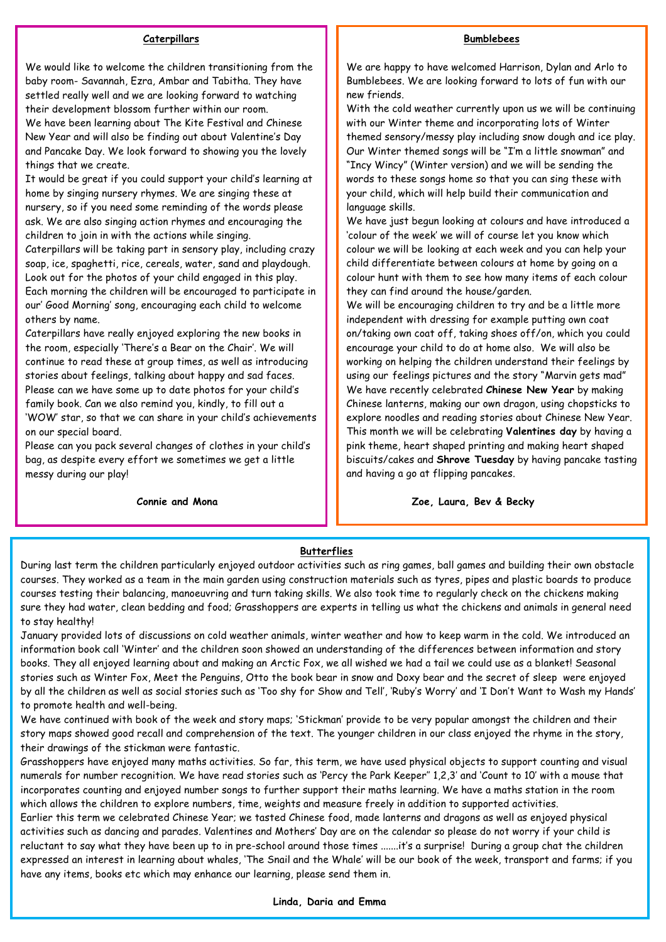#### **Bumblebees**

#### **Caterpillars**

We would like to welcome the children transitioning from the baby room- Savannah, Ezra, Ambar and Tabitha. They have settled really well and we are looking forward to watching their development blossom further within our room. We have been learning about The Kite Festival and Chinese New Year and will also be finding out about Valentine's Day and Pancake Day. We look forward to showing you the lovely things that we create.

It would be great if you could support your child's learning at home by singing nursery rhymes. We are singing these at nursery, so if you need some reminding of the words please ask. We are also singing action rhymes and encouraging the children to join in with the actions while singing.

Caterpillars will be taking part in sensory play, including crazy soap, ice, spaghetti, rice, cereals, water, sand and playdough. Look out for the photos of your child engaged in this play. Each morning the children will be encouraged to participate in our' Good Morning' song, encouraging each child to welcome others by name.

Caterpillars have really enjoyed exploring the new books in the room, especially 'There's a Bear on the Chair'. We will continue to read these at group times, as well as introducing stories about feelings, talking about happy and sad faces. Please can we have some up to date photos for your child's family book. Can we also remind you, kindly, to fill out a 'WOW' star, so that we can share in your child's achievements on our special board.

Please can you pack several changes of clothes in your child's bag, as despite every effort we sometimes we get a little messy during our play!

**Connie and Mona**

We are happy to have welcomed Harrison, Dylan and Arlo to Bumblebees. We are looking forward to lots of fun with our new friends.

With the cold weather currently upon us we will be continuing with our Winter theme and incorporating lots of Winter themed sensory/messy play including snow dough and ice play. Our Winter themed songs will be "I'm a little snowman" and "Incy Wincy" (Winter version) and we will be sending the words to these songs home so that you can sing these with your child, which will help build their communication and language skills.

We have just begun looking at colours and have introduced a 'colour of the week' we will of course let you know which colour we will be looking at each week and you can help your child differentiate between colours at home by going on a colour hunt with them to see how many items of each colour they can find around the house/garden.

We will be encouraging children to try and be a little more independent with dressing for example putting own coat on/taking own coat off, taking shoes off/on, which you could encourage your child to do at home also. We will also be working on helping the children understand their feelings by using our feelings pictures and the story "Marvin gets mad" We have recently celebrated **Chinese New Year** by making Chinese lanterns, making our own dragon, using chopsticks to explore noodles and reading stories about Chinese New Year. This month we will be celebrating **Valentines day** by having a pink theme, heart shaped printing and making heart shaped biscuits/cakes and **Shrove Tuesday** by having pancake tasting and having a go at flipping pancakes.

 **Zoe, Laura, Bev & Becky**

### **Butterflies**

During last term the children particularly enjoyed outdoor activities such as ring games, ball games and building their own obstacle courses. They worked as a team in the main garden using construction materials such as tyres, pipes and plastic boards to produce courses testing their balancing, manoeuvring and turn taking skills. We also took time to regularly check on the chickens making sure they had water, clean bedding and food; Grasshoppers are experts in telling us what the chickens and animals in general need to stay healthy!

January provided lots of discussions on cold weather animals, winter weather and how to keep warm in the cold. We introduced an information book call 'Winter' and the children soon showed an understanding of the differences between information and story books. They all enjoyed learning about and making an Arctic Fox, we all wished we had a tail we could use as a blanket! Seasonal stories such as Winter Fox, Meet the Penguins, Otto the book bear in snow and Doxy bear and the secret of sleep were enjoyed by all the children as well as social stories such as 'Too shy for Show and Tell', 'Ruby's Worry' and 'I Don't Want to Wash my Hands' to promote health and well-being.

We have continued with book of the week and story maps; 'Stickman' provide to be very popular amongst the children and their story maps showed good recall and comprehension of the text. The younger children in our class enjoyed the rhyme in the story, their drawings of the stickman were fantastic.

Grasshoppers have enjoyed many maths activities. So far, this term, we have used physical objects to support counting and visual numerals for number recognition. We have read stories such as 'Percy the Park Keeper'' 1,2,3' and 'Count to 10' with a mouse that incorporates counting and enjoyed number songs to further support their maths learning. We have a maths station in the room which allows the children to explore numbers, time, weights and measure freely in addition to supported activities.

Earlier this term we celebrated Chinese Year; we tasted Chinese food, made lanterns and dragons as well as enjoyed physical activities such as dancing and parades. Valentines and Mothers' Day are on the calendar so please do not worry if your child is reluctant to say what they have been up to in pre-school around those times .......it's a surprise! During a group chat the children expressed an interest in learning about whales, 'The Snail and the Whale' will be our book of the week, transport and farms; if you have any items, books etc which may enhance our learning, please send them in.